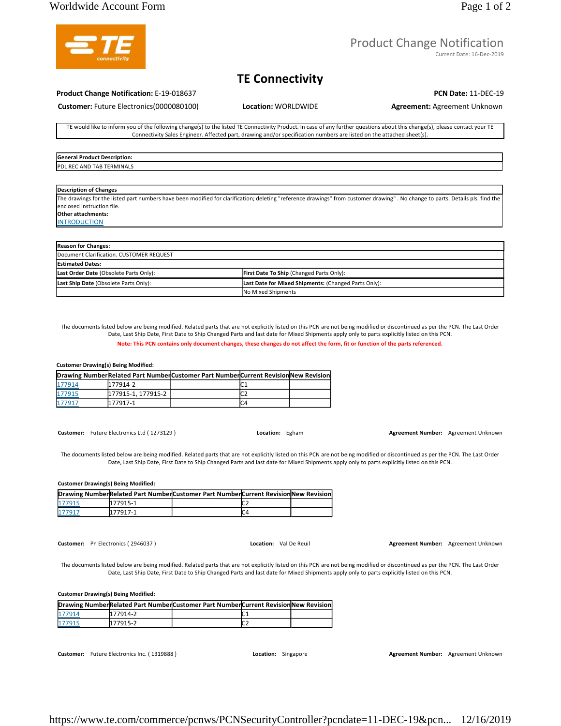## Worldwide Account Form Page 1 of 2

# Product Change Notification

Current Date: 16-Dec-2019

# **TE Connectivity**

### **Product Change Notification:** E-19-018637 **PCN Date:** 11-DEC-19

**Customer:** Future Electronics(0000080100) **Location:** WORLDWIDE **Agreement:** Agreement Unknown

TE would like to inform you of the following change(s) to the listed TE Connectivity Product. In case of any further questions about this change(s), please contact your TE Connectivity Sales Engineer. Affected part, drawing and/or specification numbers are listed on the attached sheet(s).

**General Product Description:**  PDL REC AND TAB TERMINALS

### **Description of Changes**

The drawings for the listed part numbers have been modified for clarification; deleting "reference drawings" from customer drawing" . No change to parts. Details pls. find the enclosed instruction file.

### **Other attachments: INTRODUCTION**

| <b>Reason for Changes:</b>               |                                                      |
|------------------------------------------|------------------------------------------------------|
| Document Clarification. CUSTOMER REQUEST |                                                      |
| <b>IEstimated Dates:</b>                 |                                                      |
| Last Order Date (Obsolete Parts Only):   | First Date To Ship (Changed Parts Only):             |
| Last Ship Date (Obsolete Parts Only):    | Last Date for Mixed Shipments: (Changed Parts Only): |
|                                          | No Mixed Shipments                                   |

The documents listed below are being modified. Related parts that are not explicitly listed on this PCN are not being modified or discontinued as per the PCN. The Last Order Date, Last Ship Date, First Date to Ship Changed Parts and last date for Mixed Shipments apply only to parts explicitly listed on this PCN.

### **Note: This PCN contains only document changes, these changes do not affect the form, fit or function of the parts referenced.**

### **Customer Drawing(s) Being Modified:**

|        |                   | Drawing NumberRelated Part NumberCustomer Part NumberCurrent Revision New Revision |  |
|--------|-------------------|------------------------------------------------------------------------------------|--|
| 177914 | 177914-2          |                                                                                    |  |
| 177915 | 177915-1.177915-2 |                                                                                    |  |
| 177917 | 177917-1          |                                                                                    |  |

**Customer:** Future Electronics Ltd ( 1273129 ) **Location:** Egham **Agreement Number:** Agreement Unknown

The documents listed below are being modified. Related parts that are not explicitly listed on this PCN are not being modified or discontinued as per the PCN. The Last Order Date, Last Ship Date, First Date to Ship Changed Parts and last date for Mixed Shipments apply only to parts explicitly listed on this PCN.

### **Customer Drawing(s) Being Modified:**

|        |          | Drawing NumberRelated Part NumberCustomer Part NumberCurrent Revision New Revision |  |
|--------|----------|------------------------------------------------------------------------------------|--|
| 177915 | 177915-1 |                                                                                    |  |
| 177917 | 177917-1 |                                                                                    |  |

**Customer:** Pn Electronics ( 2946037 ) **Location:** Val De Reuil **Agreement Number:** Agreement Unknown

The documents listed below are being modified. Related parts that are not explicitly listed on this PCN are not being modified or discontinued as per the PCN. The Last Order Date, Last Ship Date, First Date to Ship Changed Parts and last date for Mixed Shipments apply only to parts explicitly listed on this PCN.

### **Customer Drawing(s) Being Modified:**

|        |          | Drawing NumberRelated Part NumberCustomer Part NumberCurrent Revision New Revision |      |  |
|--------|----------|------------------------------------------------------------------------------------|------|--|
| 177914 | 177914-2 |                                                                                    | 1. J |  |
| 177915 | 177915-2 |                                                                                    | ┖    |  |

**Customer:** Future Electronics Inc. ( 1319888 ) **Location:** Singapore **Agreement Number:** Agreement Unknown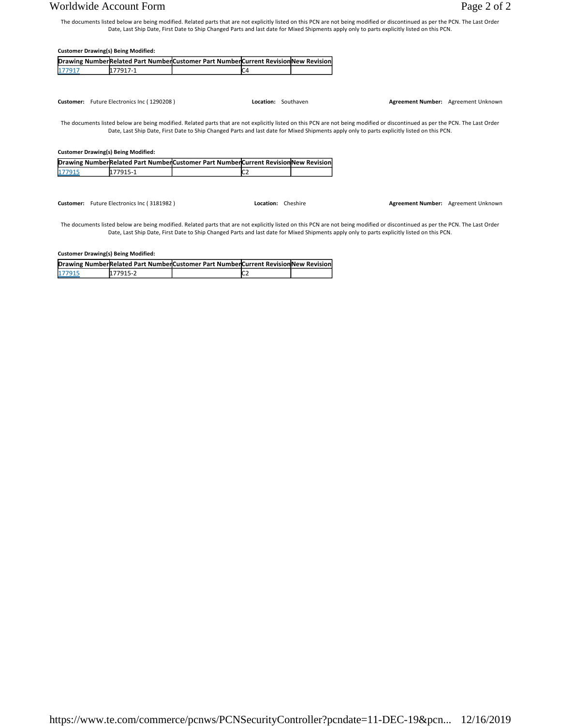# Worldwide Account Form Page 2 of 2

The documents listed below are being modified. Related parts that are not explicitly listed on this PCN are not being modified or discontinued as per the PCN. The Last Order Date, Last Ship Date, First Date to Ship Changed Parts and last date for Mixed Shipments apply only to parts explicitly listed on this PCN.

|        | <b>Customer Drawing(s) Being Modified:</b>                                                                                                                                    |                                                                                                                                             |                                                                                   |  |  |                                     |
|--------|-------------------------------------------------------------------------------------------------------------------------------------------------------------------------------|---------------------------------------------------------------------------------------------------------------------------------------------|-----------------------------------------------------------------------------------|--|--|-------------------------------------|
|        |                                                                                                                                                                               |                                                                                                                                             | Drawing NumberRelated Part NumberCustomer Part NumberCurrent RevisionNew Revision |  |  |                                     |
| 177917 | 177917-1                                                                                                                                                                      |                                                                                                                                             | C4                                                                                |  |  |                                     |
|        |                                                                                                                                                                               |                                                                                                                                             |                                                                                   |  |  |                                     |
|        | Customer: Future Electronics Inc (1290208)                                                                                                                                    |                                                                                                                                             | Location: Southaven                                                               |  |  | Agreement Number: Agreement Unknown |
|        | The documents listed below are being modified. Related parts that are not explicitly listed on this PCN are not being modified or discontinued as per the PCN. The Last Order | Date, Last Ship Date, First Date to Ship Changed Parts and last date for Mixed Shipments apply only to parts explicitly listed on this PCN. |                                                                                   |  |  |                                     |
|        | <b>Customer Drawing(s) Being Modified:</b>                                                                                                                                    |                                                                                                                                             |                                                                                   |  |  |                                     |
|        | Drawing NumberRelated Part NumberCustomer Part NumberCurrent Revision New Revision                                                                                            |                                                                                                                                             |                                                                                   |  |  |                                     |
| 177915 | 177915-1                                                                                                                                                                      |                                                                                                                                             |                                                                                   |  |  |                                     |
|        |                                                                                                                                                                               |                                                                                                                                             |                                                                                   |  |  |                                     |

**Customer:** Future Electronics Inc ( 3181982 ) **Location:** Cheshire **Agreement Number:** Agreement Unknown

The documents listed below are being modified. Related parts that are not explicitly listed on this PCN are not being modified or discontinued as per the PCN. The Last Order Date, Last Ship Date, First Date to Ship Changed Parts and last date for Mixed Shipments apply only to parts explicitly listed on this PCN.

**Customer Drawing(s) Being Modified:** 

|        |          | Drawing NumberRelated Part NumberCustomer Part NumberCurrent RevisionNew Revision |                 |  |
|--------|----------|-----------------------------------------------------------------------------------|-----------------|--|
| 177915 | 177915-2 |                                                                                   | IC <sub>2</sub> |  |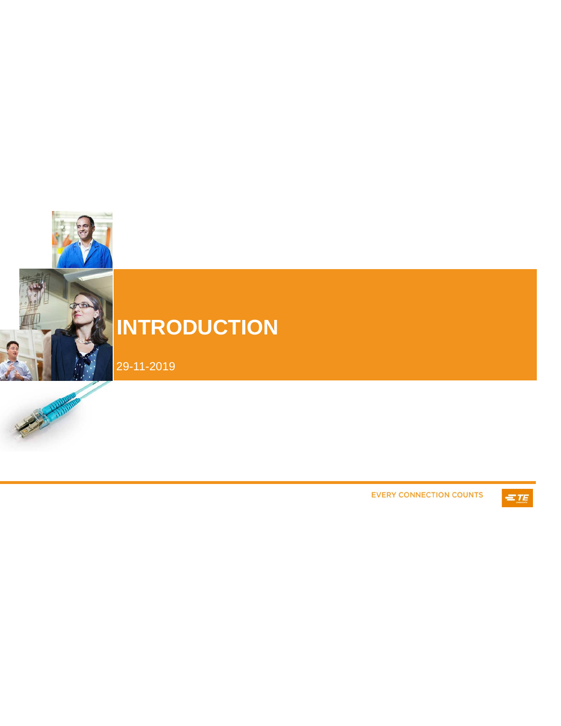

# **INTRODUCTION**

29-11-2019



**EVERY CONNECTION COUNTS** 

 $=$  TE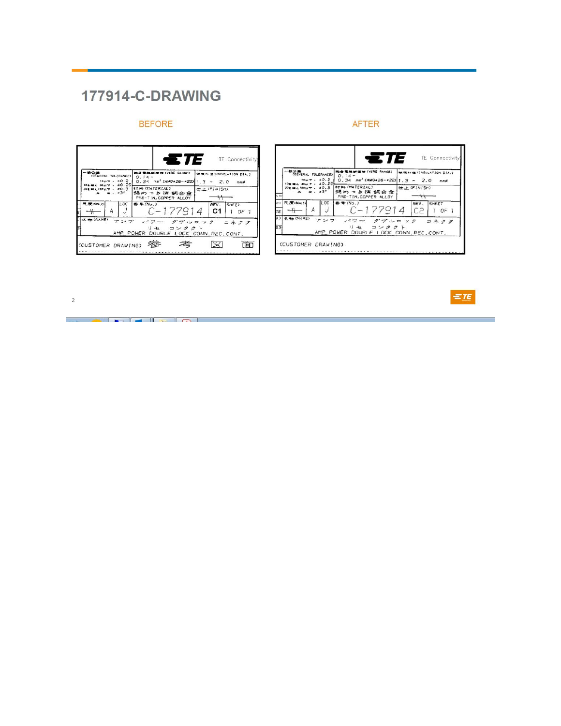# **177914-C-DRAWING**

# **BEFORE**

| -10-0-44                                                                       | £TE<br><b>BUFOOR OF (WIRE RANGE)</b><br><b>10.4 TI</b>                | TE Connectivity                    |  |
|--------------------------------------------------------------------------------|-----------------------------------------------------------------------|------------------------------------|--|
| (GENERAL TOLERANCE)<br>$10\mu$ $\tau$ . $\pm 0.2$<br>±0.25<br><b>BA 30LITE</b> | $0.14 -$<br>$0.34$ mm <sup>2</sup> (AWG=26-=22) <sub>1.3</sub> ~ 2.0  | 微信fr座(INSULATION DIA.)<br>നതമ      |  |
| JOE MEA 100LLT , ±0.3<br>$. \pm 3$                                             | <b>FT#4 (MATERIAL)</b><br>錫めっき済 銅合金<br>PRE-TIN, COPPER ALLOY          | <b>II FINISH</b>                   |  |
| 尺度(SCALE)<br>li ac<br>Α                                                        | 香号(No.)<br>C-177914                                                   | REV.<br><b>SHEET</b><br>C1<br>OF 1 |  |
| 名称(NAME)<br>アンプ                                                                | パワー ダブルロック<br>コンタクト<br>1) セ<br>AMP POWER DOUBLE LOCK CONN. REC. CONT. | コネクタ                               |  |

### **AFTER**





<u> Louis Communication de la communica</u>tion de la communication de la communication de la communication de la communication de la communication de la communication de la communication de la communication de la communication

 $\sqrt{2}$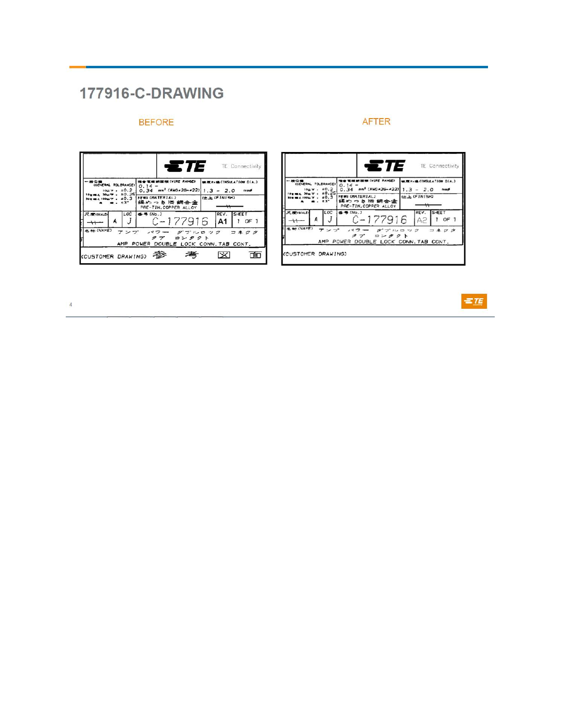# **177916-C-DRAWING**

# **BEFORE**

#### $T = T$ TE Connectivity  $\begin{array}{c|cccccc} \hline \text{AC} & \text{AC} & \text{AC} & \text{AC} & \text{AC} & \text{AC} & \text{AC} & \text{AC} & \text{AC} & \text{AC} & \text{AC} & \text{AC} & \text{AC} & \text{AC} & \text{AC} & \text{AC} & \text{AC} & \text{AC} & \text{AC} & \text{AC} & \text{AC} & \text{AC} & \text{AC} & \text{AC} & \text{AC} & \text{AC} & \text{AC} & \text{AC} & \text{AC} & \text{AC} & \text{AC} & \text{AC} & \text{AC} & \text{AC} & \text$  $6 + 177916$ REV. SHEET<br>A1 1 OF 1 LOC 尺度(SCALE)  $\boldsymbol{A}$  $\boldsymbol{J}$  $\rightarrow$ 名称(NAME)  $\begin{array}{ccccccccc}\n\mathcal{T} & \succ & \mathcal{T} & & \sim & \mathcal{T} & & \mathcal{T} & & \mathcal{T} & & \mathcal{T} & & \mathcal{T} & & \mathcal{T} & & \mathcal{T} & & \mathcal{T} & & \mathcal{T} & & \mathcal{T} & & \mathcal{T} & & \mathcal{T} & & \mathcal{T} & & \mathcal{T} & & \mathcal{T} & & \mathcal{T} & & \mathcal{T} & & \mathcal{T} & & \mathcal{T} & & \mathcal{T} & & \mathcal{T} & & \mathcal{T} & & \mathcal{T} & & \mathcal{T} & & \mathcal{T} & & \mathcal{T} & & \mathcal{T} & & \math$ コネクタ (CUSTOMER DRAWING) 参 考  $\boxtimes$ 面



 $=$  TE

**AFTER**